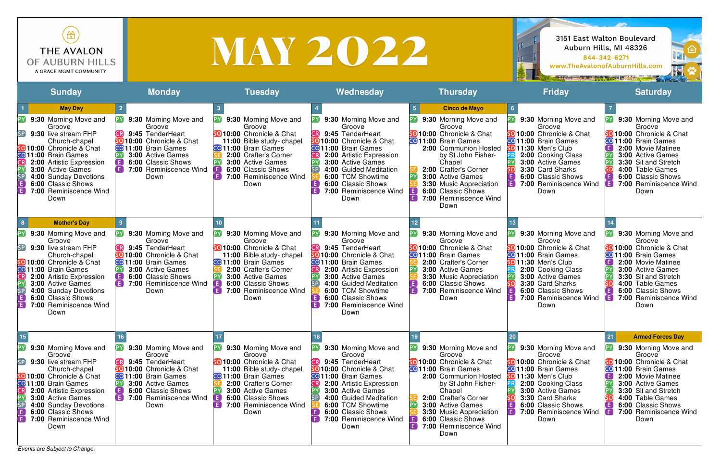*Events are Subject to Change.*





| ₩<br><b>THE AVALON</b><br>OF AUBURN HILLS<br>A GRACE MGMT COMMUNITY                                                                                                                                                                                                                                                                                                                                               |                                                                                                                                                                                                     |                                                                                                                                                                                                                                                         | <b>MAY 2022</b>                                                                                                                                                                                                                                                                                                                              |                                                                                                                                                                                                                                                                                                                           | <b>THE BILL OF THE ANGLE AND</b>                                                                                                                                                                                                                                | 3151 East Walton Boulevard<br>Auburn Hills, MI 48326<br>≘<br>844-342-6271<br>www.TheAvalonofAuburnHills.com<br>H                                                                                                                                                                                                                                                         |
|-------------------------------------------------------------------------------------------------------------------------------------------------------------------------------------------------------------------------------------------------------------------------------------------------------------------------------------------------------------------------------------------------------------------|-----------------------------------------------------------------------------------------------------------------------------------------------------------------------------------------------------|---------------------------------------------------------------------------------------------------------------------------------------------------------------------------------------------------------------------------------------------------------|----------------------------------------------------------------------------------------------------------------------------------------------------------------------------------------------------------------------------------------------------------------------------------------------------------------------------------------------|---------------------------------------------------------------------------------------------------------------------------------------------------------------------------------------------------------------------------------------------------------------------------------------------------------------------------|-----------------------------------------------------------------------------------------------------------------------------------------------------------------------------------------------------------------------------------------------------------------|--------------------------------------------------------------------------------------------------------------------------------------------------------------------------------------------------------------------------------------------------------------------------------------------------------------------------------------------------------------------------|
| <b>Sunday</b>                                                                                                                                                                                                                                                                                                                                                                                                     | <b>Monday</b>                                                                                                                                                                                       | <b>Tuesday</b>                                                                                                                                                                                                                                          | Wednesday                                                                                                                                                                                                                                                                                                                                    | <b>Thursday</b>                                                                                                                                                                                                                                                                                                           | <b>Friday</b>                                                                                                                                                                                                                                                   | <b>Saturday</b>                                                                                                                                                                                                                                                                                                                                                          |
| <b>May Day</b><br>9:30 Morning Move and<br>Groove<br>9:30 live stream FHP<br>Church-chapel<br>so 10:00 Chronicle & Chat<br>CO 11:00 Brain Games<br>2:00 Artistic Expression<br><b>3:00 Active Games</b><br>SP<br>4:00 Sunday Devotions<br>$\overline{\mathsf{E}}$<br><b>6:00 Classic Shows</b><br>$\overline{E}$<br>7:00 Reminiscence Wind<br>Down                                                                | 9:30 Morning Move and<br>Groove<br>9:45 TenderHeart<br>50 10:00 Chronicle & Chat<br><b>CO</b> 11:00 Brain Games<br>3:00 Active Games<br>6:00 Classic Shows<br>7:00 Reminiscence Wind<br>Down        | <b>PY</b> 9:30 Morning Move and<br>Groove<br><b>SO 10:00</b> Chronicle & Chat<br>11:00 Bible study-chapel<br>CO 11:00 Brain Games<br>2:00 Crafter's Corner<br>3:00 Active Games<br>6:00 Classic Shows<br>E<br>7:00 Reminiscence Wind<br>Down            | 9:30 Morning Move and<br>Groove<br>9:45 TenderHeart<br>so 10:00 Chronicle & Chat<br><b>CO</b> 11:00 Brain Games<br>2:00 Artistic Expression<br>3:00 Active Games<br><b>SP</b><br>4:00 Guided Meditation<br>6:00 TCM Showtime<br>$\left[ \begin{matrix} 1 \end{matrix} \right]$<br>6:00 Classic Shows<br>7:00 Reminiscence Wind<br>E.<br>Down | <b>Cinco de Mayo</b><br>9:30 Morning Move and<br>Groove<br>SO 10:00 Chronicle & Chat<br><b>CO</b> 11:00 Brain Games<br>2:00 Communion Hosted<br>by St John Fisher-<br>Chapel<br>2:00 Crafter's Corner<br>3:00 Active Games<br>3:30 Music Appreciation<br><b>6:00 Classic Shows</b><br>Ð<br>7:00 Reminiscence Wind<br>Down | <b>PY</b> 9:30 Morning Move and<br>Groove<br>5010:00 Chronicle & Chat<br><b>CO 11:00</b> Brain Games<br>so 11:30 Men's Club<br>2:00 Cooking Class<br>3:00 Active Games<br>3:30 Card Sharks<br>6:00 Classic Shows<br>7:00 Reminiscence Wind<br>Down              | 9:30 Morning Move and<br>PY<br>Groove<br><b>SO 10:00</b> Chronicle & Chat<br>CO 11:00 Brain Games<br>2:00 Movie Matinee<br><b>3:00 Active Games</b><br>3:30 Sit and Stretch<br>4:00 Table Games<br>$\left( \begin{array}{c} \mathsf{E} \end{array} \right)$<br>6:00 Classic Shows<br>E)<br>7:00 Reminiscence Wind<br>Down                                                |
| <b>Mother's Day</b><br>8 <sup>1</sup><br>P١<br>9:30 Morning Move and<br>Groove<br>9:30 live stream FHP<br>SP<br>Church-chapel<br>50 10:00 Chronicle & Chat<br>CO 11:00 Brain Games<br>CR<br>2:00 Artistic Expression<br>I E J<br>3:00 Active Games<br>$\blacksquare$<br>$\frac{SP}{E}$<br>4:00 Sunday Devotions<br>6:00 Classic Shows<br>$\mathsf{E}$<br>7:00 Reminiscence Wind<br>Down                           | 9:30 Morning Move and<br>Groove<br>9:45 TenderHeart<br>50 10:00 Chronicle & Chat<br>CO 11:00 Brain Games<br><b>3:00 Active Games</b><br>6:00 Classic Shows<br>7:00 Reminiscence Wind<br>Down        | 9:30 Morning Move and<br>Groove<br>50 10:00 Chronicle & Chat<br>11:00 Bible study-chapel<br>CO 11:00 Brain Games<br>2:00 Crafter's Corner<br>3:00 Active Games<br>6:00 Classic Shows<br>FI<br>7:00 Reminiscence Wind<br>Down                            | 9:30 Morning Move and<br>Groove<br>9:45 TenderHeart<br>so 10:00 Chronicle & Chat<br>CO 11:00 Brain Games<br>CR]<br>2:00 Artistic Expression<br>3:00 Active Games<br>4:00 Guided Meditation<br>SP.<br>6:00 TCM Showtime<br>E<br>6:00 Classic Shows<br>E<br>7:00 Reminiscence Wind<br>Down                                                     | 9:30 Morning Move and<br>Groove<br><b>SO 10:00</b> Chronicle & Chat<br><b>CO</b> 11:00 Brain Games<br>2:00 Crafter's Corner<br>3:00 Active Games<br><b>3:30 Music Appreciation</b><br>6:00 Classic Shows<br>Œ)<br>7:00 Reminiscence Wind<br>Down                                                                          | 9:30 Morning Move and<br>Groove<br><b>SO 10:00</b> Chronicle & Chat<br>CO 11:00 Brain Games<br><b>SO 11:30 Men's Club</b><br>2:00 Cooking Class<br>3:00 Active Games<br>3:30 Card Sharks<br>6:00 Classic Shows<br>IE.<br>7:00 Reminiscence Wind<br>IF I<br>Down | [PY]<br>9:30 Morning Move and<br>Groove<br>50 10:00 Chronicle & Chat<br>CO <sub>11:00</sub> Brain Games<br>$\mathsf{E}$ )<br>2:00 Movie Matinee<br><b>PY</b><br><b>3:00 Active Games</b><br>3:30 Sit and Stretch<br> PY <br>4:00 Table Games<br>$\left( \begin{matrix} \mathbf{E} \end{matrix} \right)$<br>6:00 Classic Shows<br>i Fil<br>7:00 Reminiscence Wind<br>Down |
| 15<br>Pγ<br>9:30 Morning Move and<br>Groove<br>SP<br>9:30 live stream FHP<br>Church-chapel<br>5010:00 Chronicle & Chat<br>CO 11:00 Brain Games<br>CR<br><b>2:00 Artistic Expression</b><br>Æ<br>3:00 Active Games<br>$\overline{\mathsf{SP}}$<br>4:00 Sunday Devotions<br>$\left[ \begin{smallmatrix} 1\ 1\ 1\ \end{smallmatrix} \right]$<br>6:00 Classic Shows<br>$\mathsf{E}$<br>7:00 Reminiscence Wind<br>Down | 9:30 Morning Move and<br>Groove<br>9:45 TenderHeart<br>50 10:00 Chronicle & Chat<br>CO 11:00 Brain Games<br><b>3:00 Active Games</b><br>6:00 Classic Shows<br><b>7:00 Reminiscence Wind</b><br>Down | 9:30 Morning Move and<br>Groove<br>50 10:00 Chronicle & Chat<br>11:00 Bible study-chapel<br><b>CO</b> 11:00 Brain Games<br>2:00 Crafter's Corner<br><b>3:00 Active Games</b><br><b>6:00 Classic Shows</b><br>E<br><b>7:00 Reminiscence Wind</b><br>Down | 9:30 Morning Move and<br>Groove<br>9:45 TenderHeart<br>CR)<br><b>SO 10:00</b> Chronicle & Chat<br>CO 11:00 Brain Games<br>$\mathsf{CR}$<br>2:00 Artistic Expression<br>3:00 Active Games<br>$\mathsf{SP}\big]$<br>4:00 Guided Meditation<br>6:00 TCM Showtime<br>E<br>6:00 Classic Shows<br>F.<br>7:00 Reminiscence Wind<br>Down             | 9:30 Morning Move and<br>Groove<br><b>SO 10:00</b> Chronicle & Chat<br><b>CO</b> 11:00 Brain Games<br>2:00 Communion Hosted<br>by St John Fisher-<br>Chapel<br>2:00 Crafter's Corner<br><b>3:00 Active Games</b><br><b>3:30 Music Appreciation</b><br>6:00 Classic Shows<br>Œ)<br>7:00 Reminiscence Wind<br>Down          | 9:30 Morning Move and<br>Groove<br>SO 10:00 Chronicle & Chat<br><b>CO 11:00</b> Brain Games<br><b>SO 11:30 Men's Club</b><br>2:00 Cooking Class<br><b>3:00 Active Games</b><br>3:30 Card Sharks<br>6:00 Classic Shows<br>7:00 Reminiscence Wind<br>Down         | <b>Armed Forces Day</b><br>21<br>9:30 Morning Move and<br>Groove<br>5010:00 Chronicle & Chat<br>CO 11:00 Brain Games<br>E)<br>2:00 Movie Matinee<br>$[\mathsf{PY}]$<br><b>3:00 Active Games</b><br>3:30 Sit and Stretch<br>sol<br>4:00 Table Games<br>E)<br>6:00 Classic Shows<br>7:00 Reminiscence Wind<br>Down                                                         |